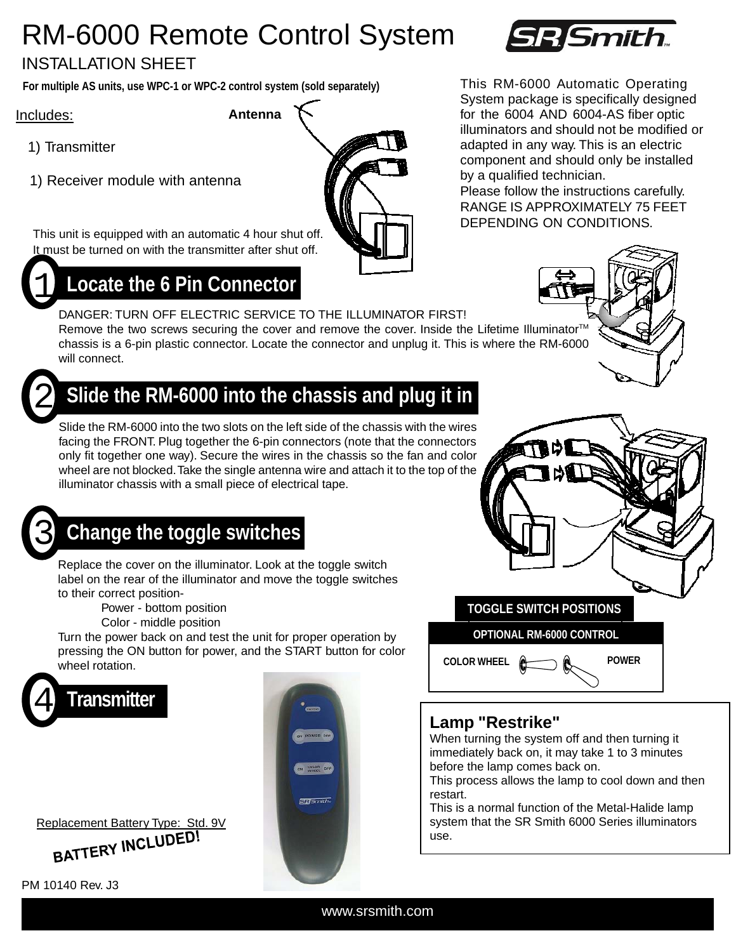## RM-6000 Remote Control System

#### INSTALLATION SHEET

**For multiple AS units, use WPC-1 or WPC-2 control system (sold separately)** 

Includes:

- 1) Transmitter
- 1) Receiver module with antenna

This unit is equipped with an automatic 4 hour shut off. It must be turned on with the transmitter after shut off.



#### 1 **Locate the 6 Pin Connector**

DANGER: TURN OFF ELECTRIC SERVICE TO THE ILLUMINATOR FIRST! Remove the two screws securing the cover and remove the cover. Inside the Lifetime Illuminator<sup>TM</sup> chassis is a 6-pin plastic connector. Locate the connector and unplug it. This is where the RM-6000 will connect.



### Slide the RM-6000 into the chassis and plug it in

Slide the RM-6000 into the two slots on the left side of the chassis with the wires facing the FRONT. Plug together the 6-pin connectors (note that the connectors only fit together one way). Secure the wires in the chassis so the fan and color wheel are not blocked. Take the single antenna wire and attach it to the top of the illuminator chassis with a small piece of electrical tape.

## 3 **Change the toggle switches**

Replace the cover on the illuminator. Look at the toggle switch label on the rear of the illuminator and move the toggle switches to their correct position-

Power - bottom position

Color - middle position

Turn the power back on and test the unit for proper operation by pressing the ON button for power, and the START button for color wheel rotation.





PM 10140 Rev. J3





# R Smith

This RM-6000 Automatic Operating System package is specifically designed **Antenna** for the 6004 AND 6004-AS fiber optic illuminators and should not be modified or adapted in any way. This is an electric component and should only be installed by a qualified technician. Please follow the instructions carefully. RANGE IS APPROXIMATELY 75 FEET DEPENDING ON CONDITIONS.

#### **Lamp "Restrike"**

When turning the system off and then turning it immediately back on, it may take 1 to 3 minutes before the lamp comes back on.

**COLOR WHEEL POWER**

**OPTIONAL RM-6000 CONTROL**

This process allows the lamp to cool down and then restart.

This is a normal function of the Metal-Halide lamp system that the SR Smith 6000 Series illuminators use.